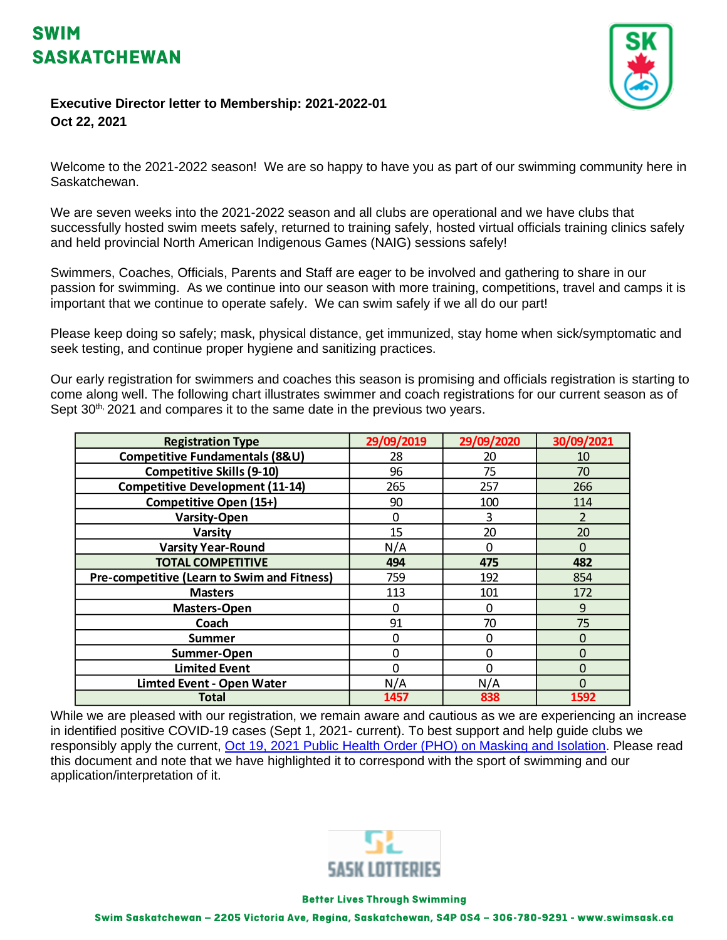



## **Executive Director letter to Membership: 2021-2022-01 Oct 22, 2021**

Welcome to the 2021-2022 season! We are so happy to have you as part of our swimming community here in Saskatchewan.

We are seven weeks into the 2021-2022 season and all clubs are operational and we have clubs that successfully hosted swim meets safely, returned to training safely, hosted virtual officials training clinics safely and held provincial North American Indigenous Games (NAIG) sessions safely!

Swimmers, Coaches, Officials, Parents and Staff are eager to be involved and gathering to share in our passion for swimming. As we continue into our season with more training, competitions, travel and camps it is important that we continue to operate safely. We can swim safely if we all do our part!

Please keep doing so safely; mask, physical distance, get immunized, stay home when sick/symptomatic and seek testing, and continue proper hygiene and sanitizing practices.

Our early registration for swimmers and coaches this season is promising and officials registration is starting to come along well. The following chart illustrates swimmer and coach registrations for our current season as of Sept  $30<sup>th</sup>$ , 2021 and compares it to the same date in the previous two years.

| <b>Registration Type</b>                    | 29/09/2019 | 29/09/2020 | 30/09/2021   |
|---------------------------------------------|------------|------------|--------------|
| Competitive Fundamentals (8&U)              | 28         | 20         | 10           |
| <b>Competitive Skills (9-10)</b>            | 96         | 75         | 70           |
| <b>Competitive Development (11-14)</b>      | 265        | 257        | 266          |
| <b>Competitive Open (15+)</b>               | 90         | 100        | 114          |
| <b>Varsity-Open</b>                         | 0          | 3          | 2            |
| <b>Varsity</b>                              | 15         | 20         | 20           |
| <b>Varsity Year-Round</b>                   | N/A        | 0          | $\Omega$     |
| <b>TOTAL COMPETITIVE</b>                    | 494        | 475        | 482          |
| Pre-competitive (Learn to Swim and Fitness) | 759        | 192        | 854          |
| <b>Masters</b>                              | 113        | 101        | 172          |
| <b>Masters-Open</b>                         | ŋ          | 0          | 9            |
| Coach                                       | 91         | 70         | 75           |
| Summer                                      | 0          | 0          | $\Omega$     |
| Summer-Open                                 | ი          | 0          | $\mathbf{0}$ |
| <b>Limited Event</b>                        | 0          | 0          | $\mathbf 0$  |
| <b>Limted Event - Open Water</b>            | N/A        | N/A        | $\mathbf{0}$ |
| Total                                       | 1457       | 838        | 1592         |

While we are pleased with our registration, we remain aware and cautious as we are experiencing an increase in identified positive COVID-19 cases (Sept 1, 2021- current). To best support and help guide clubs we responsibly apply the current, [Oct 19, 2021 Public Health Order \(PHO\) on Masking and Isolation.](https://swimsask-my.sharepoint.com/:b:/g/personal/marjwalton_swimsask_ca/EYH1wXhPvnZLm8v65gEoaUwBtXYnhL22zMm3bA6-uiwjRQ?e=u65M03) Please read this document and note that we have highlighted it to correspond with the sport of swimming and our application/interpretation of it.



## **Better Lives Through Swimming**

Swim Saskatchewan - 2205 Victoria Ave, Regina, Saskatchewan, S4P 0S4 - 306-780-9291 - www.swimsask.ca